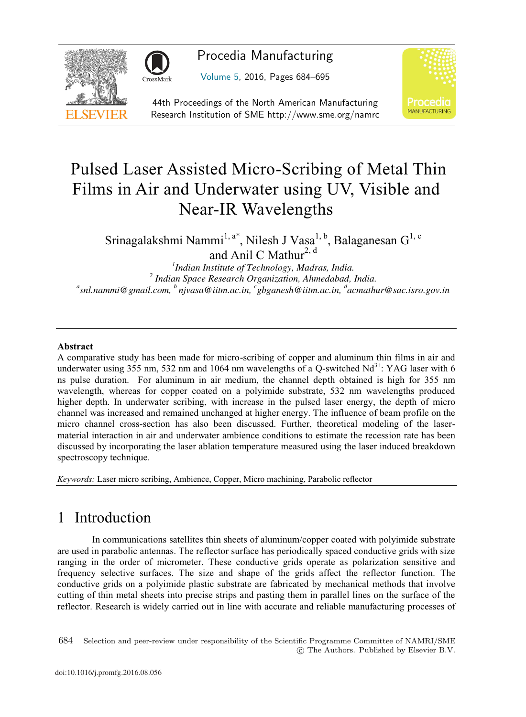



Procedia Manufacturing

Volume 5, 2016, Pages 684–695



44th Proceedings of the North American Manufacturing Research Institution of SME http://www.sme.org/namrc

# Pulsed Laser Assisted Micro-Scribing of Metal Thin Films in Air and Underwater using UV, Visible and Near-IR Wavelengths

Srinagalakshmi Nammi<sup>1, a\*</sup>, Nilesh J Vasa<sup>1, b</sup>, Balaganesan G<sup>1, c</sup>

and Anil C Mathur<sup>2, d</sup>

<sup>1</sup>Indian Institute of Technology, Madras, India. <sup>2</sup> Indian Space Research Organization, Ahmedabad, India. *snl.nammi@gmail.com, b njvasa@iitm.ac.in, c gbganesh@iitm.ac.in, <sup>d</sup> acmathur@sac.isro.gov.in*

#### Abstract

A comparative study has been made for micro-scribing of copper and aluminum thin films in air and underwater using 355 nm, 532 nm and 1064 nm wavelengths of a Q-switched  $Nd^{3+}$ : YAG laser with 6 ns pulse duration. For aluminum in air medium, the channel depth obtained is high for 355 nm wavelength, whereas for copper coated on a polyimide substrate, 532 nm wavelengths produced higher depth. In underwater scribing, with increase in the pulsed laser energy, the depth of micro channel was increased and remained unchanged at higher energy. The influence of beam profile on the micro channel cross-section has also been discussed. Further, theoretical modeling of the lasermaterial interaction in air and underwater ambience conditions to estimate the recession rate has been discussed by incorporating the laser ablation temperature measured using the laser induced breakdown spectroscopy technique.

*Keywords:* Laser micro scribing, Ambience, Copper, Micro machining, Parabolic reflector

# 1 Introduction

In communications satellites thin sheets of aluminum/copper coated with polyimide substrate are used in parabolic antennas. The reflector surface has periodically spaced conductive grids with size ranging in the order of micrometer. These conductive grids operate as polarization sensitive and frequency selective surfaces. The size and shape of the grids affect the reflector function. The conductive grids on a polyimide plastic substrate are fabricated by mechanical methods that involve cutting of thin metal sheets into precise strips and pasting them in parallel lines on the surface of the reflector. Research is widely carried out in line with accurate and reliable manufacturing processes of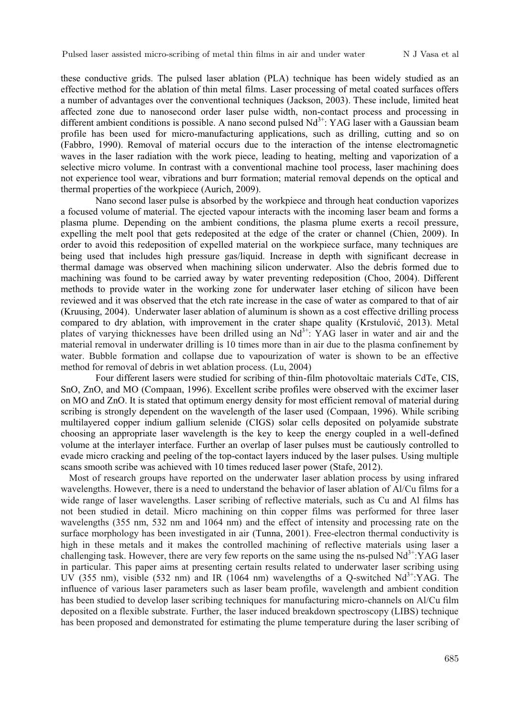these conductive grids. The pulsed laser ablation (PLA) technique has been widely studied as an effective method for the ablation of thin metal films. Laser processing of metal coated surfaces offers a number of advantages over the conventional techniques (Jackson, 2003). These include, limited heat affected zone due to nanosecond order laser pulse width, non-contact process and processing in different ambient conditions is possible. A nano second pulsed  $Nd<sup>3+</sup>$ : YAG laser with a Gaussian beam profile has been used for micro-manufacturing applications, such as drilling, cutting and so on (Fabbro, 1990). Removal of material occurs due to the interaction of the intense electromagnetic waves in the laser radiation with the work piece, leading to heating, melting and vaporization of a selective micro volume. In contrast with a conventional machine tool process, laser machining does not experience tool wear, vibrations and burr formation; material removal depends on the optical and thermal properties of the workpiece (Aurich, 2009).

Nano second laser pulse is absorbed by the workpiece and through heat conduction vaporizes a focused volume of material. The ejected vapour interacts with the incoming laser beam and forms a plasma plume. Depending on the ambient conditions, the plasma plume exerts a recoil pressure, expelling the melt pool that gets redeposited at the edge of the crater or channel (Chien, 2009). In order to avoid this redeposition of expelled material on the workpiece surface, many techniques are being used that includes high pressure gas/liquid. Increase in depth with significant decrease in thermal damage was observed when machining silicon underwater. Also the debris formed due to machining was found to be carried away by water preventing redeposition (Choo, 2004). Different methods to provide water in the working zone for underwater laser etching of silicon have been reviewed and it was observed that the etch rate increase in the case of water as compared to that of air (Kruusing, 2004). Underwater laser ablation of aluminum is shown as a cost effective drilling process compared to dry ablation, with improvement in the crater shape quality (Krstulović, 2013). Metal plates of varying thicknesses have been drilled using an  $Nd<sup>3+</sup>$ : YAG laser in water and air and the material removal in underwater drilling is 10 times more than in air due to the plasma confinement by water. Bubble formation and collapse due to vapourization of water is shown to be an effective method for removal of debris in wet ablation process. (Lu, 2004)

Four different lasers were studied for scribing of thin-film photovoltaic materials CdTe, CIS, SnO, ZnO, and MO (Compaan, 1996). Excellent scribe profiles were observed with the excimer laser on MO and ZnO. It is stated that optimum energy density for most efficient removal of material during scribing is strongly dependent on the wavelength of the laser used (Compaan, 1996). While scribing multilayered copper indium gallium selenide (CIGS) solar cells deposited on polyamide substrate choosing an appropriate laser wavelength is the key to keep the energy coupled in a well-defined volume at the interlayer interface. Further an overlap of laser pulses must be cautiously controlled to evade micro cracking and peeling of the top-contact layers induced by the laser pulses. Using multiple scans smooth scribe was achieved with 10 times reduced laser power (Stafe, 2012).

Most of research groups have reported on the underwater laser ablation process by using infrared wavelengths. However, there is a need to understand the behavior of laser ablation of Al/Cu films for a wide range of laser wavelengths. Laser scribing of reflective materials, such as Cu and Al films has not been studied in detail. Micro machining on thin copper films was performed for three laser wavelengths (355 nm, 532 nm and 1064 nm) and the effect of intensity and processing rate on the surface morphology has been investigated in air (Tunna, 2001). Free-electron thermal conductivity is high in these metals and it makes the controlled machining of reflective materials using laser a challenging task. However, there are very few reports on the same using the ns-pulsed  $Nd<sup>3+</sup>:YAG$  laser in particular. This paper aims at presenting certain results related to underwater laser scribing using UV (355 nm), visible (532 nm) and IR (1064 nm) wavelengths of a Q-switched  $Nd^{3+}$ :YAG. The influence of various laser parameters such as laser beam profile, wavelength and ambient condition has been studied to develop laser scribing techniques for manufacturing micro-channels on Al/Cu film deposited on a flexible substrate. Further, the laser induced breakdown spectroscopy (LIBS) technique has been proposed and demonstrated for estimating the plume temperature during the laser scribing of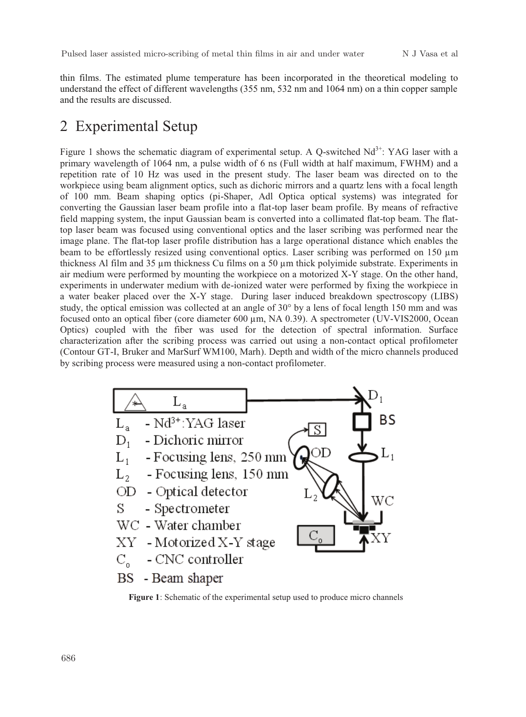thin films. The estimated plume temperature has been incorporated in the theoretical modeling to understand the effect of different wavelengths (355 nm, 532 nm and 1064 nm) on a thin copper sample and the results are discussed.

# 2 Experimental Setup

Figure 1 shows the schematic diagram of experimental setup. A Q-switched  $Nd^{3+}$ : YAG laser with a primary wavelength of 1064 nm, a pulse width of 6 ns (Full width at half maximum, FWHM) and a repetition rate of 10 Hz was used in the present study. The laser beam was directed on to the workpiece using beam alignment optics, such as dichoric mirrors and a quartz lens with a focal length of 100 mm. Beam shaping optics (pi-Shaper, Adl Optica optical systems) was integrated for converting the Gaussian laser beam profile into a flat-top laser beam profile. By means of refractive field mapping system, the input Gaussian beam is converted into a collimated flat-top beam. The flattop laser beam was focused using conventional optics and the laser scribing was performed near the image plane. The flat-top laser profile distribution has a large operational distance which enables the beam to be effortlessly resized using conventional optics. Laser scribing was performed on 150 µm thickness Al film and 35 µm thickness Cu films on a 50 µm thick polyimide substrate. Experiments in air medium were performed by mounting the workpiece on a motorized X-Y stage. On the other hand, experiments in underwater medium with de-ionized water were performed by fixing the workpiece in a water beaker placed over the X-Y stage. During laser induced breakdown spectroscopy (LIBS) study, the optical emission was collected at an angle of 30° by a lens of focal length 150 mm and was focused onto an optical fiber (core diameter  $600 \mu m$ , NA 0.39). A spectrometer (UV-VIS2000, Ocean Optics) coupled with the fiber was used for the detection of spectral information. Surface characterization after the scribing process was carried out using a non-contact optical profilometer (Contour GT-I, Bruker and MarSurf WM100, Marh). Depth and width of the micro channels produced by scribing process were measured using a non-contact profilometer.



**Figure 1**: Schematic of the experimental setup used to produce micro channels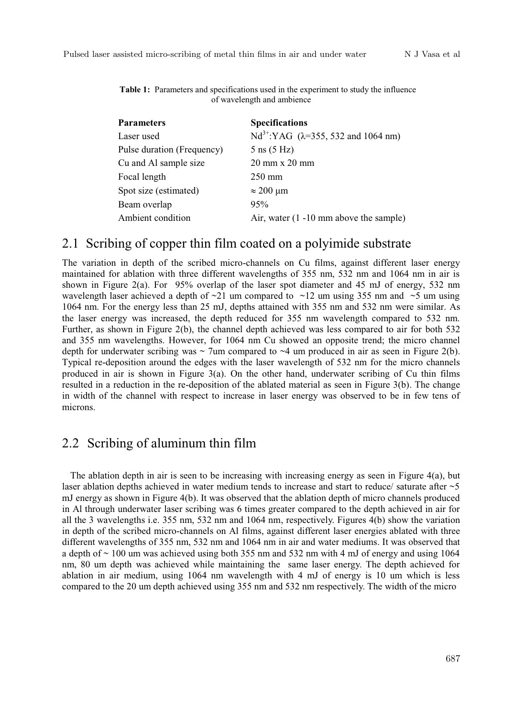**Table 1:** Parameters and specifications used in the experiment to study the influence of wavelength and ambience

| <b>Parameters</b>          | <b>Specifications</b>                                    |
|----------------------------|----------------------------------------------------------|
| Laser used                 | Nd <sup>3+</sup> :YAG ( $\lambda$ =355, 532 and 1064 nm) |
| Pulse duration (Frequency) | $5 \text{ ns} (5 \text{ Hz})$                            |
| Cu and Al sample size      | $20 \text{ mm} \times 20 \text{ mm}$                     |
| Focal length               | $250 \text{ mm}$                                         |
| Spot size (estimated)      | $\approx$ 200 µm                                         |
| Beam overlap               | 95%                                                      |
| Ambient condition          | Air, water $(1 - 10 \text{ mm}$ above the sample)        |

#### 2.1 Scribing of copper thin film coated on a polyimide substrate

The variation in depth of the scribed micro-channels on Cu films, against different laser energy maintained for ablation with three different wavelengths of 355 nm, 532 nm and 1064 nm in air is shown in Figure 2(a). For 95% overlap of the laser spot diameter and 45 mJ of energy, 532 nm wavelength laser achieved a depth of  $\sim$ 21 um compared to  $\sim$ 12 um using 355 nm and  $\sim$ 5 um using 1064 nm. For the energy less than 25 mJ, depths attained with 355 nm and 532 nm were similar. As the laser energy was increased, the depth reduced for 355 nm wavelength compared to 532 nm. Further, as shown in Figure 2(b), the channel depth achieved was less compared to air for both 532 and 355 nm wavelengths. However, for 1064 nm Cu showed an opposite trend; the micro channel depth for underwater scribing was  $\sim$  7um compared to  $\sim$  4 um produced in air as seen in Figure 2(b). Typical re-deposition around the edges with the laser wavelength of 532 nm for the micro channels produced in air is shown in Figure 3(a). On the other hand, underwater scribing of Cu thin films resulted in a reduction in the re-deposition of the ablated material as seen in Figure 3(b). The change in width of the channel with respect to increase in laser energy was observed to be in few tens of microns.

#### 2.2 Scribing of aluminum thin film

The ablation depth in air is seen to be increasing with increasing energy as seen in Figure 4(a), but laser ablation depths achieved in water medium tends to increase and start to reduce/ saturate after  $\sim$  5 mJ energy as shown in Figure 4(b). It was observed that the ablation depth of micro channels produced in Al through underwater laser scribing was 6 times greater compared to the depth achieved in air for all the 3 wavelengths i.e. 355 nm, 532 nm and 1064 nm, respectively. Figures 4(b) show the variation in depth of the scribed micro-channels on Al films, against different laser energies ablated with three different wavelengths of 355 nm, 532 nm and 1064 nm in air and water mediums. It was observed that a depth of  $\sim$  100 um was achieved using both 355 nm and 532 nm with 4 mJ of energy and using 1064 nm, 80 um depth was achieved while maintaining the same laser energy. The depth achieved for ablation in air medium, using 1064 nm wavelength with 4 mJ of energy is 10 um which is less compared to the 20 um depth achieved using 355 nm and 532 nm respectively. The width of the micro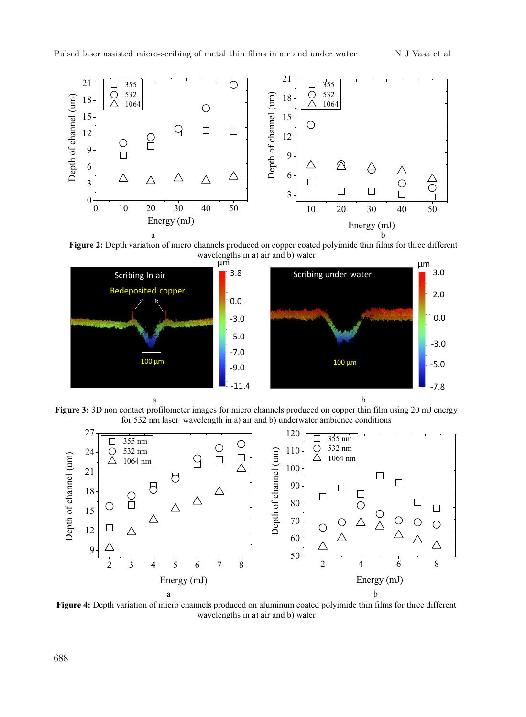

**Figure 2:** Depth variation of micro channels produced on copper coated polyimide thin films for three different wavelenoths in a) air and b) water wavelengths in a) air and b) water



**Figure 3:** 3D non contact profilometer images for micro channels produced on copper thin film using 20 mJ energy for 532 nm laser wavelength in a) air and b) underwater ambience conditions



**Figure 4:** Depth variation of micro channels produced on aluminum coated polyimide thin films for three different wavelengths in a) air and b) water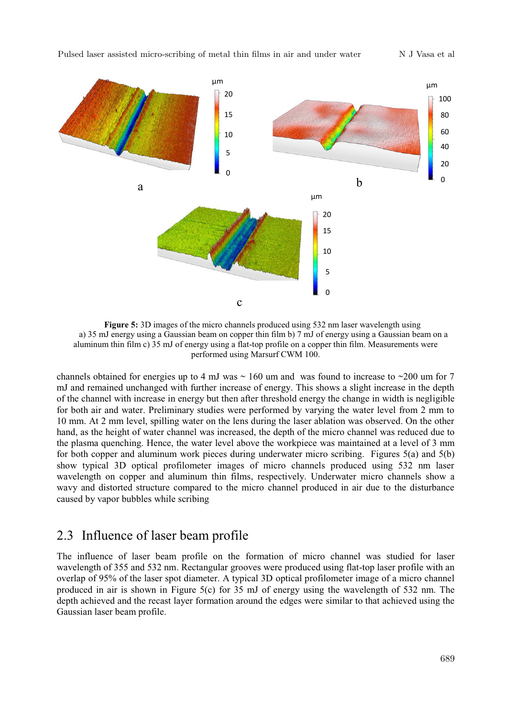

**Figure 5:** 3D images of the micro channels produced using 532 nm laser wavelength using a) 35 mJ energy using a Gaussian beam on copper thin film b) 7 mJ of energy using a Gaussian beam on a aluminum thin film c) 35 mJ of energy using a flat-top profile on a copper thin film. Measurements were performed using Marsurf CWM 100.

channels obtained for energies up to 4 mJ was  $\sim$  160 um and was found to increase to  $\sim$  200 um for 7 mJ and remained unchanged with further increase of energy. This shows a slight increase in the depth of the channel with increase in energy but then after threshold energy the change in width is negligible for both air and water. Preliminary studies were performed by varying the water level from 2 mm to 10 mm. At 2 mm level, spilling water on the lens during the laser ablation was observed. On the other hand, as the height of water channel was increased, the depth of the micro channel was reduced due to the plasma quenching. Hence, the water level above the workpiece was maintained at a level of 3 mm for both copper and aluminum work pieces during underwater micro scribing. Figures  $5(a)$  and  $5(b)$ show typical 3D optical profilometer images of micro channels produced using 532 nm laser wavelength on copper and aluminum thin films, respectively. Underwater micro channels show a wavy and distorted structure compared to the micro channel produced in air due to the disturbance caused by vapor bubbles while scribing

#### 2.3 Influence of laser beam profile

The influence of laser beam profile on the formation of micro channel was studied for laser wavelength of 355 and 532 nm. Rectangular grooves were produced using flat-top laser profile with an overlap of 95% of the laser spot diameter. A typical 3D optical profilometer image of a micro channel produced in air is shown in Figure 5(c) for 35 mJ of energy using the wavelength of 532 nm. The depth achieved and the recast layer formation around the edges were similar to that achieved using the Gaussian laser beam profile.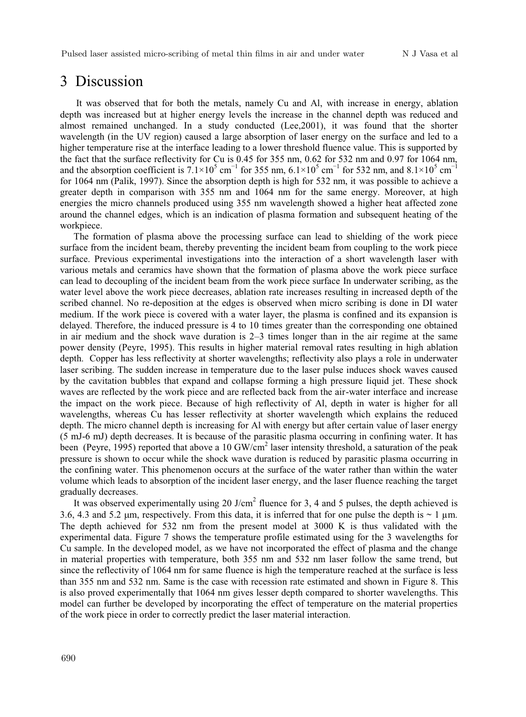#### 3 Discussion

It was observed that for both the metals, namely Cu and Al, with increase in energy, ablation depth was increased but at higher energy levels the increase in the channel depth was reduced and almost remained unchanged. In a study conducted (Lee,2001), it was found that the shorter wavelength (in the UV region) caused a large absorption of laser energy on the surface and led to a higher temperature rise at the interface leading to a lower threshold fluence value. This is supported by the fact that the surface reflectivity for Cu is 0.45 for 355 nm, 0.62 for 532 nm and 0.97 for 1064 nm, and the absorption coefficient is  $7.1\times10^5$  cm<sup>-1</sup> for 355 nm,  $6.1\times10^5$  cm<sup>-1</sup> for 532 nm, and  $8.1\times10^5$  cm<sup>-1</sup> for 1064 nm (Palik, 1997). Since the absorption depth is high for 532 nm, it was possible to achieve a greater depth in comparison with 355 nm and 1064 nm for the same energy. Moreover, at high energies the micro channels produced using 355 nm wavelength showed a higher heat affected zone around the channel edges, which is an indication of plasma formation and subsequent heating of the workpiece.

The formation of plasma above the processing surface can lead to shielding of the work piece surface from the incident beam, thereby preventing the incident beam from coupling to the work piece surface. Previous experimental investigations into the interaction of a short wavelength laser with various metals and ceramics have shown that the formation of plasma above the work piece surface can lead to decoupling of the incident beam from the work piece surface In underwater scribing, as the water level above the work piece decreases, ablation rate increases resulting in increased depth of the scribed channel. No re-deposition at the edges is observed when micro scribing is done in DI water medium. If the work piece is covered with a water layer, the plasma is confined and its expansion is delayed. Therefore, the induced pressure is 4 to 10 times greater than the corresponding one obtained in air medium and the shock wave duration is 2–3 times longer than in the air regime at the same power density (Peyre, 1995). This results in higher material removal rates resulting in high ablation depth. Copper has less reflectivity at shorter wavelengths; reflectivity also plays a role in underwater laser scribing. The sudden increase in temperature due to the laser pulse induces shock waves caused by the cavitation bubbles that expand and collapse forming a high pressure liquid jet. These shock waves are reflected by the work piece and are reflected back from the air-water interface and increase the impact on the work piece. Because of high reflectivity of Al, depth in water is higher for all wavelengths, whereas Cu has lesser reflectivity at shorter wavelength which explains the reduced depth. The micro channel depth is increasing for Al with energy but after certain value of laser energy (5 mJ-6 mJ) depth decreases. It is because of the parasitic plasma occurring in confining water. It has been (Peyre, 1995) reported that above a 10 GW/cm<sup>2</sup> laser intensity threshold, a saturation of the peak pressure is shown to occur while the shock wave duration is reduced by parasitic plasma occurring in the confining water. This phenomenon occurs at the surface of the water rather than within the water volume which leads to absorption of the incident laser energy, and the laser fluence reaching the target gradually decreases.

It was observed experimentally using 20 J/cm<sup>2</sup> fluence for 3, 4 and 5 pulses, the depth achieved is 3.6, 4.3 and 5.2 µm, respectively. From this data, it is inferred that for one pulse the depth is  $\sim 1 \,\text{\textmu m}$ . The depth achieved for 532 nm from the present model at 3000 K is thus validated with the experimental data. Figure 7 shows the temperature profile estimated using for the 3 wavelengths for Cu sample. In the developed model, as we have not incorporated the effect of plasma and the change in material properties with temperature, both 355 nm and 532 nm laser follow the same trend, but since the reflectivity of 1064 nm for same fluence is high the temperature reached at the surface is less than 355 nm and 532 nm. Same is the case with recession rate estimated and shown in Figure 8. This is also proved experimentally that 1064 nm gives lesser depth compared to shorter wavelengths. This model can further be developed by incorporating the effect of temperature on the material properties of the work piece in order to correctly predict the laser material interaction.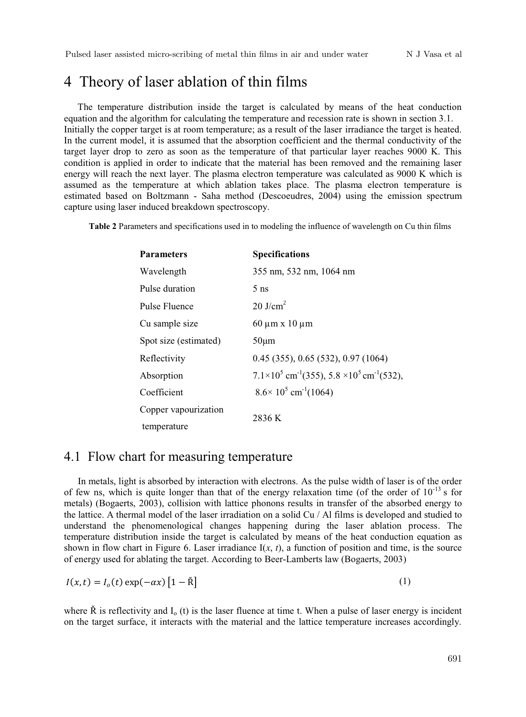# 4 Theory of laser ablation of thin films

The temperature distribution inside the target is calculated by means of the heat conduction equation and the algorithm for calculating the temperature and recession rate is shown in section 3.1. Initially the copper target is at room temperature; as a result of the laser irradiance the target is heated. In the current model, it is assumed that the absorption coefficient and the thermal conductivity of the target layer drop to zero as soon as the temperature of that particular layer reaches 9000 K. This condition is applied in order to indicate that the material has been removed and the remaining laser energy will reach the next layer. The plasma electron temperature was calculated as 9000 K which is assumed as the temperature at which ablation takes place. The plasma electron temperature is estimated based on Boltzmann - Saha method (Descoeudres, 2004) using the emission spectrum capture using laser induced breakdown spectroscopy.

**Table 2** Parameters and specifications used in to modeling the influence of wavelength on Cu thin films

| <b>Parameters</b>     | <b>Specifications</b>                                                                |
|-----------------------|--------------------------------------------------------------------------------------|
| Wavelength            | 355 nm, 532 nm, 1064 nm                                                              |
| Pulse duration        | $5 \text{ ns}$                                                                       |
| Pulse Fluence         | $20$ J/cm <sup>2</sup>                                                               |
| Cu sample size        | $60 \mu m \times 10 \mu m$                                                           |
| Spot size (estimated) | $50 \mu m$                                                                           |
| Reflectivity          | $0.45$ (355), $0.65$ (532), $0.97$ (1064)                                            |
| Absorption            | $7.1\times10^{5}$ cm <sup>-1</sup> (355), 5.8 $\times10^{5}$ cm <sup>-1</sup> (532), |
| Coefficient           | $8.6 \times 10^5$ cm <sup>-1</sup> (1064)                                            |
| Copper vapourization  | 2836 K                                                                               |
| temperature           |                                                                                      |

#### 4.1 Flow chart for measuring temperature

In metals, light is absorbed by interaction with electrons. As the pulse width of laser is of the order of few ns, which is quite longer than that of the energy relaxation time (of the order of  $10^{-13}$  s for metals) (Bogaerts, 2003), collision with lattice phonons results in transfer of the absorbed energy to the lattice. A thermal model of the laser irradiation on a solid Cu / Al films is developed and studied to understand the phenomenological changes happening during the laser ablation process. The temperature distribution inside the target is calculated by means of the heat conduction equation as shown in flow chart in Figure 6. Laser irradiance  $I(x, t)$ , a function of position and time, is the source of energy used for ablating the target. According to Beer-Lamberts law (Bogaerts, 2003)

$$
I(x,t) = I_o(t) \exp(-\alpha x) \left[1 - \check{R}\right]
$$
 (1)

where  $\hat{R}$  is reflectivity and  $I_0$  (t) is the laser fluence at time t. When a pulse of laser energy is incident on the target surface, it interacts with the material and the lattice temperature increases accordingly.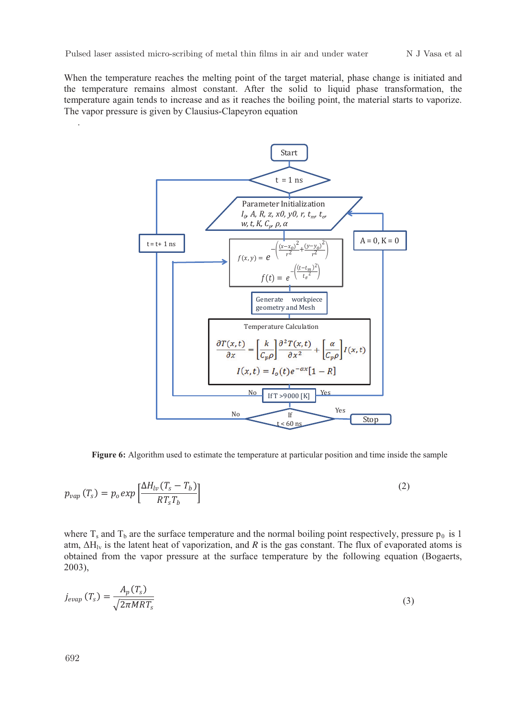When the temperature reaches the melting point of the target material, phase change is initiated and the temperature remains almost constant. After the solid to liquid phase transformation, the temperature again tends to increase and as it reaches the boiling point, the material starts to vaporize. The vapor pressure is given by Clausius-Clapeyron equation



**Figure 6:** Algorithm used to estimate the temperature at particular position and time inside the sample

$$
p_{vap}(T_s) = p_o exp\left[\frac{\Delta H_{lv}(T_s - T_b)}{RT_s T_b}\right]
$$
\n(2)

where  $T_s$  and  $T_b$  are the surface temperature and the normal boiling point respectively, pressure  $p_0$  is 1 atm,  $\Delta H_{1v}$  is the latent heat of vaporization, and *R* is the gas constant. The flux of evaporated atoms is obtained from the vapor pressure at the surface temperature by the following equation (Bogaerts, 2003),

$$
j_{evap}(T_s) = \frac{A_p(T_s)}{\sqrt{2\pi MRT_s}}
$$
\n(3)

.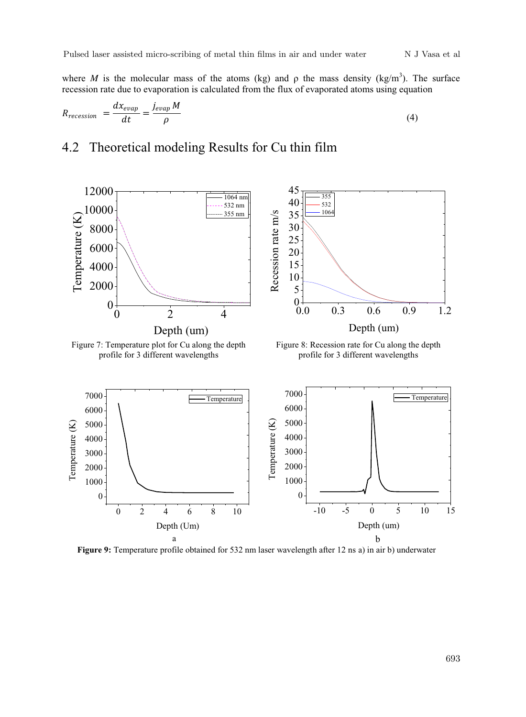where *M* is the molecular mass of the atoms (kg) and  $\rho$  the mass density (kg/m<sup>3</sup>). The surface recession rate due to evaporation is calculated from the flux of evaporated atoms using equation

$$
R_{recession} = \frac{dx_{evap}}{dt} = \frac{j_{evap} M}{\rho}
$$
\n(4)

### 4.2 Theoretical modeling Results for Cu thin film





**Figure 9:** Temperature profile obtained for 532 nm laser wavelength after 12 ns a) in air b) underwater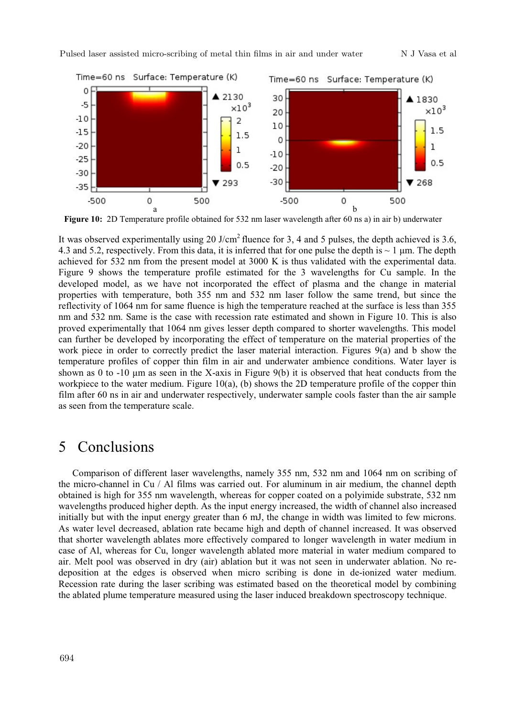

**Figure 10:** 2D Temperature profile obtained for 532 nm laser wavelength after 60 ns a) in air b) underwater

It was observed experimentally using 20 J/cm<sup>2</sup> fluence for 3, 4 and 5 pulses, the depth achieved is 3.6, 4.3 and 5.2, respectively. From this data, it is inferred that for one pulse the depth is  $\sim 1 \,\mu m$ . The depth achieved for 532 nm from the present model at 3000 K is thus validated with the experimental data. Figure 9 shows the temperature profile estimated for the 3 wavelengths for Cu sample. In the developed model, as we have not incorporated the effect of plasma and the change in material properties with temperature, both 355 nm and 532 nm laser follow the same trend, but since the reflectivity of 1064 nm for same fluence is high the temperature reached at the surface is less than 355 nm and 532 nm. Same is the case with recession rate estimated and shown in Figure 10. This is also proved experimentally that 1064 nm gives lesser depth compared to shorter wavelengths. This model can further be developed by incorporating the effect of temperature on the material properties of the work piece in order to correctly predict the laser material interaction. Figures 9(a) and b show the temperature profiles of copper thin film in air and underwater ambience conditions. Water layer is shown as 0 to -10 μm as seen in the X-axis in Figure 9(b) it is observed that heat conducts from the workpiece to the water medium. Figure 10(a), (b) shows the 2D temperature profile of the copper thin film after 60 ns in air and underwater respectively, underwater sample cools faster than the air sample as seen from the temperature scale.

#### 5 Conclusions

Comparison of different laser wavelengths, namely 355 nm, 532 nm and 1064 nm on scribing of the micro-channel in Cu / Al films was carried out. For aluminum in air medium, the channel depth obtained is high for 355 nm wavelength, whereas for copper coated on a polyimide substrate, 532 nm wavelengths produced higher depth. As the input energy increased, the width of channel also increased initially but with the input energy greater than 6 mJ, the change in width was limited to few microns. As water level decreased, ablation rate became high and depth of channel increased. It was observed that shorter wavelength ablates more effectively compared to longer wavelength in water medium in case of Al, whereas for Cu, longer wavelength ablated more material in water medium compared to air. Melt pool was observed in dry (air) ablation but it was not seen in underwater ablation. No redeposition at the edges is observed when micro scribing is done in de-ionized water medium. Recession rate during the laser scribing was estimated based on the theoretical model by combining the ablated plume temperature measured using the laser induced breakdown spectroscopy technique.